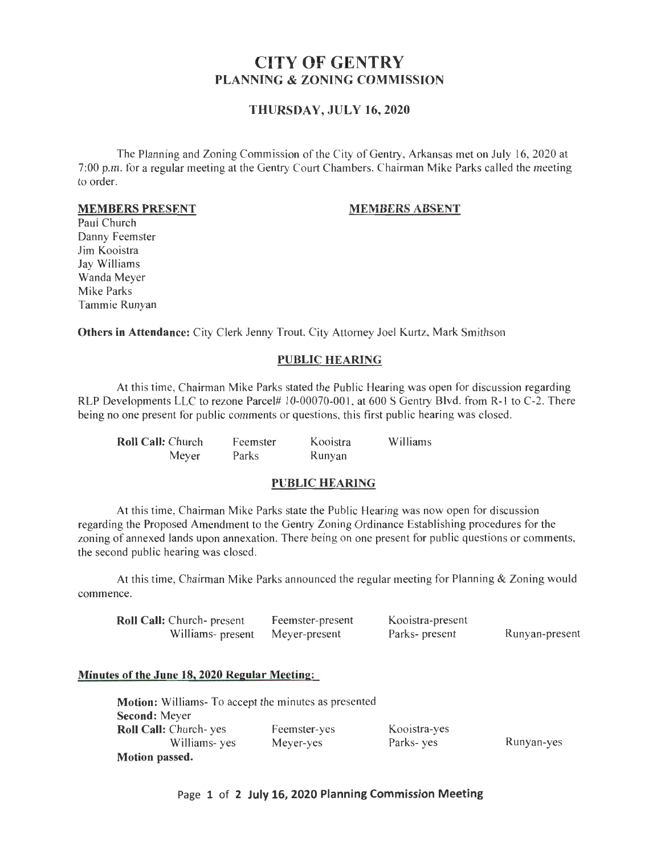# CITY OF GENTRY PLANNING & ZONING COMMISSION

## THURSDAY, JULY 16,2020

The Planning and Zoning Commission of the City of Gentry, Arkansas met on July 16, 2020 at 7:00 p.m. for a regular meeting at the Gentry Court Chambers. Chairman Mike Parks called the meeting to order.

#### MEMBERS PRESENT

### MEMBERS ABSENT

Paul Church Danny Feemster Jim Kooistra Jay Williams Wanda Meyer Mike Parks Tammie Runyan

Others in Attendance: City Clerk Jenny Trout, City Attorney Joel Kurtz, Mark Smithson

#### PUBLIC HEARING

At this time, Chairman Mike Parks stated the Public Hearing was open for discussion regarding RLP Developments LLC to rezone Parcel# 10-00070-001, at 600 S Gentry Blvd. from R-1 to C-2. There being no one present for public comments or questions, this first public hearing was closed.

| <b>Roll Call: Church</b> | Feemster | Kooistra | Williams |
|--------------------------|----------|----------|----------|
| Meyer                    | Parks    | Runyan   |          |

#### PUBLIC HEARING

At this time, Chairman Mike Parks state the Public Hearing was now open for discussion regarding the Proposed Amendment to the Gentry Zoning Ordinance Establishing procedures for the zoning of annexed lands upon annexation. There being on one present for public questions or comments, the second public hearing was closed.

At this time, Chairman Mike Parks announced the regular meeting for Planning & Zoning would commence.

| <b>Roll Call:</b> Church- present | Feemster-present | Kooistra-present |                |
|-----------------------------------|------------------|------------------|----------------|
| Williams- present                 | Meyer-present    | Parks- present   | Runyan-present |

#### Minutes of the June 18,2020 Regular Meeting:

| <b>Motion:</b> Williams- To accept the minutes as presented |              |              |            |
|-------------------------------------------------------------|--------------|--------------|------------|
| <b>Second:</b> Meyer                                        |              |              |            |
| <b>Roll Call:</b> Church- yes                               | Feemster-yes | Kooistra-yes |            |
| Williams-yes                                                | Meyer-yes    | Parks-yes    | Runyan-yes |
| <b>Motion passed.</b>                                       |              |              |            |